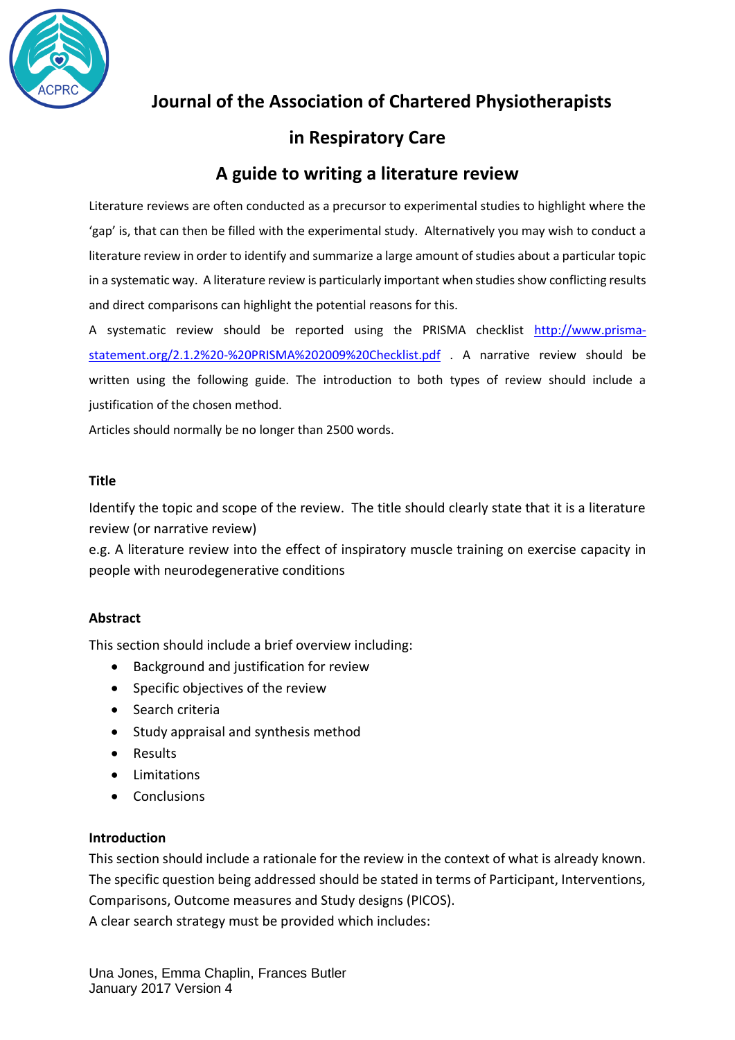

# **Journal of the Association of Chartered Physiotherapists**

# **in Respiratory Care**

# **A guide to writing a literature review**

Literature reviews are often conducted as a precursor to experimental studies to highlight where the 'gap' is, that can then be filled with the experimental study. Alternatively you may wish to conduct a literature review in order to identify and summarize a large amount of studies about a particular topic in a systematic way. A literature review is particularly important when studies show conflicting results and direct comparisons can highlight the potential reasons for this.

A systematic review should be reported using the PRISMA checklist [http://www.prisma](http://www.prisma-statement.org/2.1.2%20-%20PRISMA%202009%20Checklist.pdf)[statement.org/2.1.2%20-%20PRISMA%202009%20Checklist.pdf](http://www.prisma-statement.org/2.1.2%20-%20PRISMA%202009%20Checklist.pdf) . A narrative review should be written using the following guide. The introduction to both types of review should include a justification of the chosen method.

Articles should normally be no longer than 2500 words.

#### **Title**

Identify the topic and scope of the review. The title should clearly state that it is a literature review (or narrative review)

e.g. A literature review into the effect of inspiratory muscle training on exercise capacity in people with neurodegenerative conditions

## **Abstract**

This section should include a brief overview including:

- Background and justification for review
- Specific objectives of the review
- Search criteria
- Study appraisal and synthesis method
- Results
- Limitations
- Conclusions

## **Introduction**

This section should include a rationale for the review in the context of what is already known. The specific question being addressed should be stated in terms of Participant, Interventions, Comparisons, Outcome measures and Study designs (PICOS).

A clear search strategy must be provided which includes: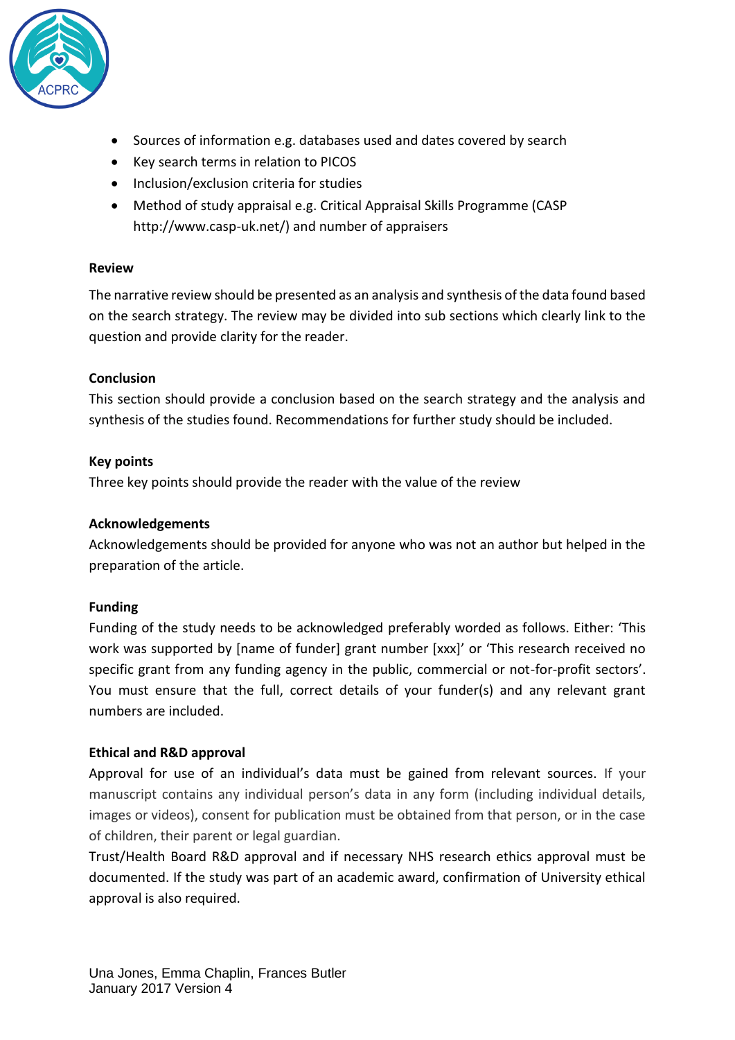

- Sources of information e.g. databases used and dates covered by search
- Key search terms in relation to PICOS
- Inclusion/exclusion criteria for studies
- Method of study appraisal e.g. Critical Appraisal Skills Programme (CASP http://www.casp-uk.net/) and number of appraisers

#### **Review**

The narrative review should be presented as an analysis and synthesis of the data found based on the search strategy. The review may be divided into sub sections which clearly link to the question and provide clarity for the reader.

#### **Conclusion**

This section should provide a conclusion based on the search strategy and the analysis and synthesis of the studies found. Recommendations for further study should be included.

#### **Key points**

Three key points should provide the reader with the value of the review

### **Acknowledgements**

Acknowledgements should be provided for anyone who was not an author but helped in the preparation of the article.

## **Funding**

Funding of the study needs to be acknowledged preferably worded as follows. Either: 'This work was supported by [name of funder] grant number [xxx]' or 'This research received no specific grant from any funding agency in the public, commercial or not-for-profit sectors'. You must ensure that the full, correct details of your funder(s) and any relevant grant numbers are included.

## **Ethical and R&D approval**

Approval for use of an individual's data must be gained from relevant sources. If your manuscript contains any individual person's data in any form (including individual details, images or videos), consent for publication must be obtained from that person, or in the case of children, their parent or legal guardian.

Trust/Health Board R&D approval and if necessary NHS research ethics approval must be documented. If the study was part of an academic award, confirmation of University ethical approval is also required.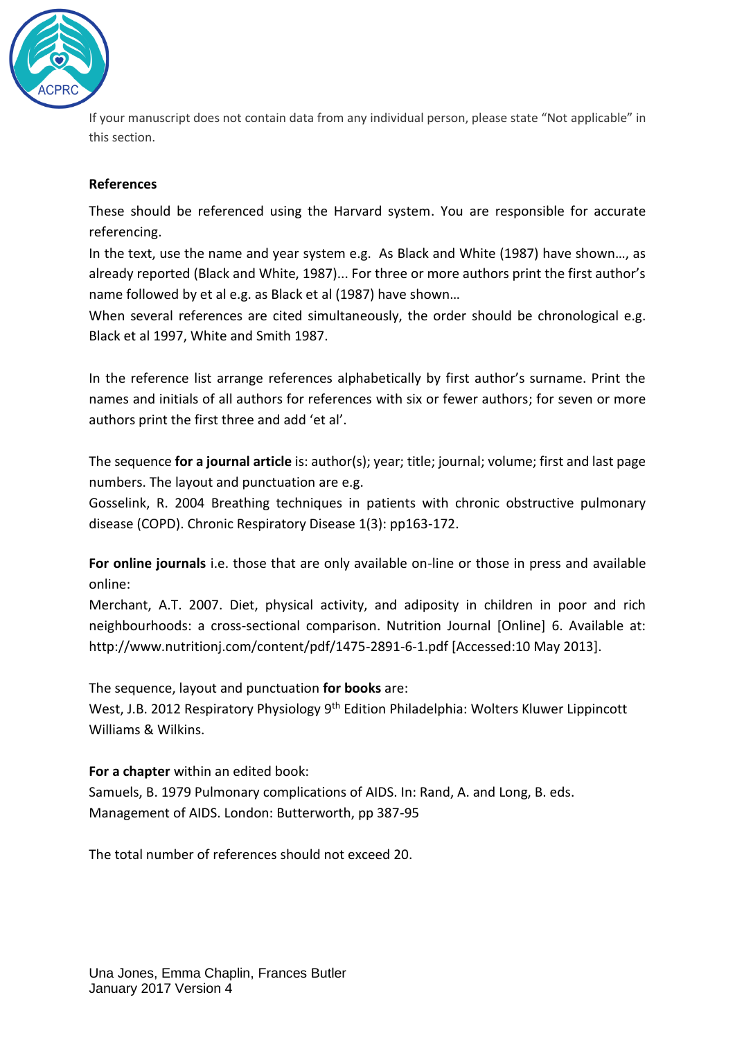

If your manuscript does not contain data from any individual person, please state "Not applicable" in this section.

# **References**

These should be referenced using the Harvard system. You are responsible for accurate referencing.

In the text, use the name and year system e.g. As Black and White (1987) have shown…, as already reported (Black and White, 1987)... For three or more authors print the first author's name followed by et al e.g. as Black et al (1987) have shown…

When several references are cited simultaneously, the order should be chronological e.g. Black et al 1997, White and Smith 1987.

In the reference list arrange references alphabetically by first author's surname. Print the names and initials of all authors for references with six or fewer authors; for seven or more authors print the first three and add 'et al'.

The sequence **for a journal article** is: author(s); year; title; journal; volume; first and last page numbers. The layout and punctuation are e.g.

Gosselink, R. 2004 Breathing techniques in patients with chronic obstructive pulmonary disease (COPD). Chronic Respiratory Disease 1(3): pp163-172.

**For online journals** i.e. those that are only available on-line or those in press and available online:

Merchant, A.T. 2007. Diet, physical activity, and adiposity in children in poor and rich neighbourhoods: a cross-sectional comparison. Nutrition Journal [Online] 6. Available at: http://www.nutritionj.com/content/pdf/1475-2891-6-1.pdf [Accessed:10 May 2013].

The sequence, layout and punctuation **for books** are:

West, J.B. 2012 Respiratory Physiology 9<sup>th</sup> Edition Philadelphia: Wolters Kluwer Lippincott Williams & Wilkins.

**For a chapter** within an edited book: Samuels, B. 1979 Pulmonary complications of AIDS. In: Rand, A. and Long, B. eds. Management of AIDS. London: Butterworth, pp 387-95

The total number of references should not exceed 20.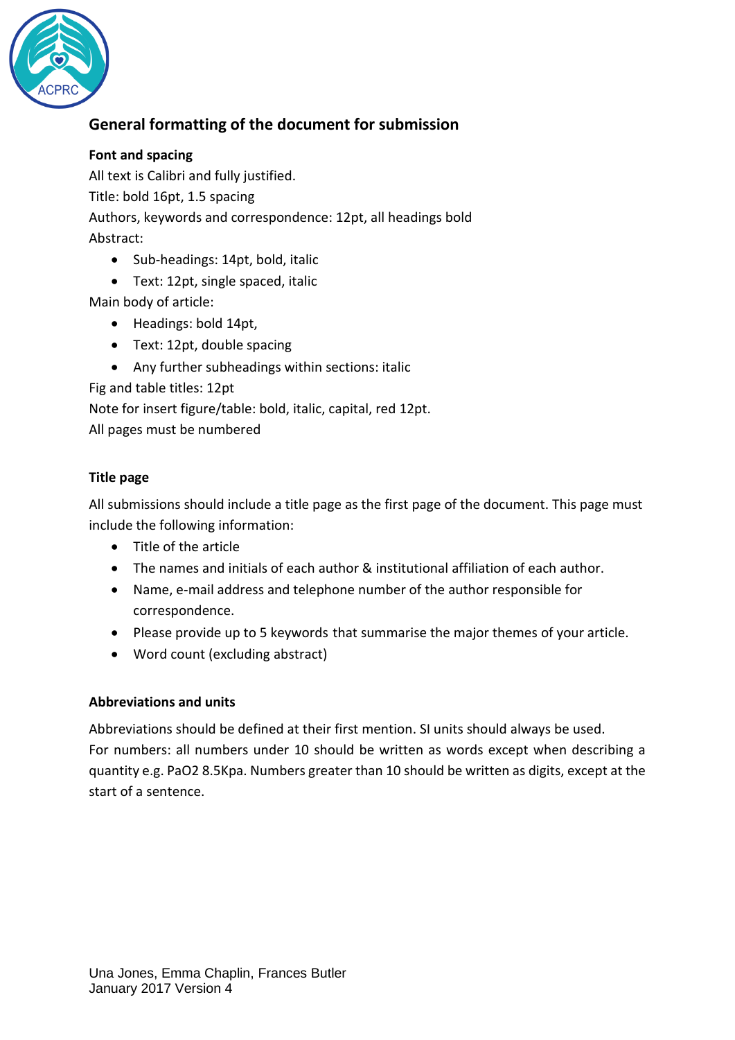

# **General formatting of the document for submission**

# **Font and spacing**

All text is Calibri and fully justified. Title: bold 16pt, 1.5 spacing Authors, keywords and correspondence: 12pt, all headings bold Abstract:

- Sub-headings: 14pt, bold, italic
- Text: 12pt, single spaced, italic

Main body of article:

- Headings: bold 14pt,
- Text: 12pt, double spacing
- Any further subheadings within sections: italic

Fig and table titles: 12pt

Note for insert figure/table: bold, italic, capital, red 12pt.

All pages must be numbered

# **Title page**

All submissions should include a title page as the first page of the document. This page must include the following information:

- Title of the article
- The names and initials of each author & institutional affiliation of each author.
- Name, e-mail address and telephone number of the author responsible for correspondence.
- Please provide up to 5 keywords that summarise the major themes of your article.
- Word count (excluding abstract)

## **Abbreviations and units**

Abbreviations should be defined at their first mention. SI units should always be used. For numbers: all numbers under 10 should be written as words except when describing a quantity e.g. PaO2 8.5Kpa. Numbers greater than 10 should be written as digits, except at the start of a sentence.